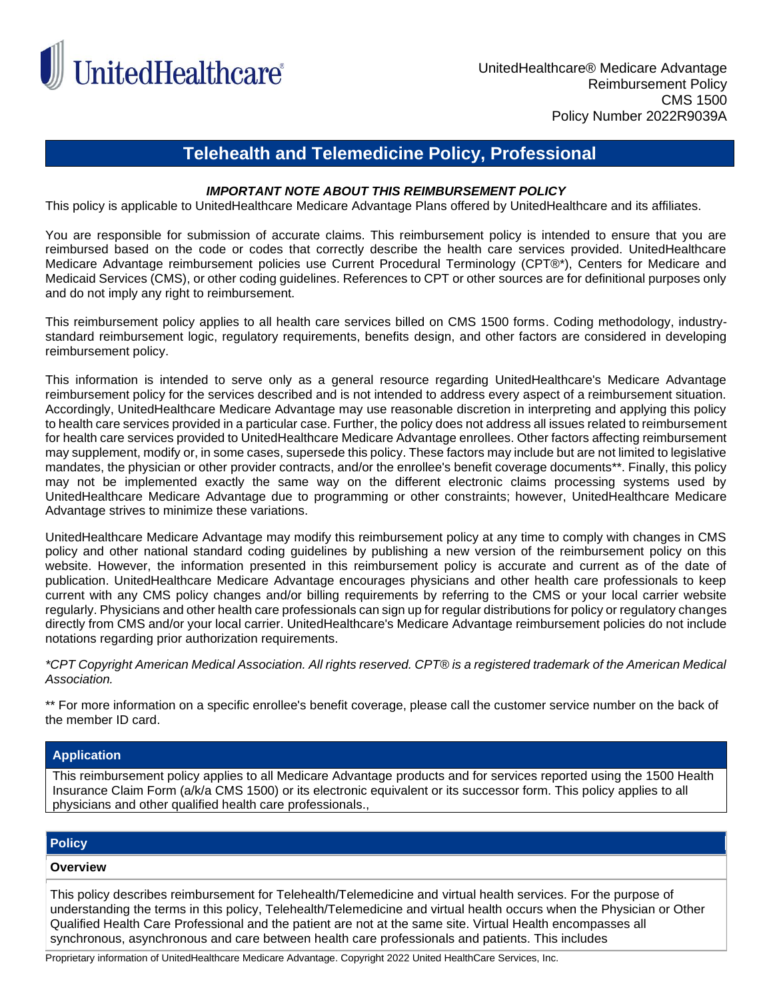

# **Telehealth and Telemedicine Policy, Professional**

## *IMPORTANT NOTE ABOUT THIS REIMBURSEMENT POLICY*

This policy is applicable to UnitedHealthcare Medicare Advantage Plans offered by UnitedHealthcare and its affiliates.

You are responsible for submission of accurate claims. This reimbursement policy is intended to ensure that you are reimbursed based on the code or codes that correctly describe the health care services provided. UnitedHealthcare Medicare Advantage reimbursement policies use Current Procedural Terminology (CPT®\*), Centers for Medicare and Medicaid Services (CMS), or other coding guidelines. References to CPT or other sources are for definitional purposes only and do not imply any right to reimbursement.

This reimbursement policy applies to all health care services billed on CMS 1500 forms. Coding methodology, industrystandard reimbursement logic, regulatory requirements, benefits design, and other factors are considered in developing reimbursement policy.

This information is intended to serve only as a general resource regarding UnitedHealthcare's Medicare Advantage reimbursement policy for the services described and is not intended to address every aspect of a reimbursement situation. Accordingly, UnitedHealthcare Medicare Advantage may use reasonable discretion in interpreting and applying this policy to health care services provided in a particular case. Further, the policy does not address all issues related to reimbursement for health care services provided to UnitedHealthcare Medicare Advantage enrollees. Other factors affecting reimbursement may supplement, modify or, in some cases, supersede this policy. These factors may include but are not limited to legislative mandates, the physician or other provider contracts, and/or the enrollee's benefit coverage documents\*\*. Finally, this policy may not be implemented exactly the same way on the different electronic claims processing systems used by UnitedHealthcare Medicare Advantage due to programming or other constraints; however, UnitedHealthcare Medicare Advantage strives to minimize these variations.

UnitedHealthcare Medicare Advantage may modify this reimbursement policy at any time to comply with changes in CMS policy and other national standard coding guidelines by publishing a new version of the reimbursement policy on this website. However, the information presented in this reimbursement policy is accurate and current as of the date of publication. UnitedHealthcare Medicare Advantage encourages physicians and other health care professionals to keep current with any CMS policy changes and/or billing requirements by referring to the CMS or your local carrier website regularly. Physicians and other health care professionals can sign up for regular distributions for policy or regulatory changes directly from CMS and/or your local carrier. UnitedHealthcare's Medicare Advantage reimbursement policies do not include notations regarding prior authorization requirements.

*\*CPT Copyright American Medical Association. All rights reserved. CPT® is a registered trademark of the American Medical Association.*

\*\* For more information on a specific enrollee's benefit coverage, please call the customer service number on the back of the member ID card.

## **Application**

This reimbursement policy applies to all Medicare Advantage products and for services reported using the 1500 Health Insurance Claim Form (a/k/a CMS 1500) or its electronic equivalent or its successor form. This policy applies to all physicians and other qualified health care professionals.,

# **Policy**

### **Overview**

This policy describes reimbursement for Telehealth/Telemedicine and virtual health services. For the purpose of understanding the terms in this policy, Telehealth/Telemedicine and virtual health occurs when the Physician or Other Qualified Health Care Professional and the patient are not at the same site. Virtual Health encompasses all synchronous, asynchronous and care between health care professionals and patients. This includes

Proprietary information of UnitedHealthcare Medicare Advantage. Copyright 2022 United HealthCare Services, Inc.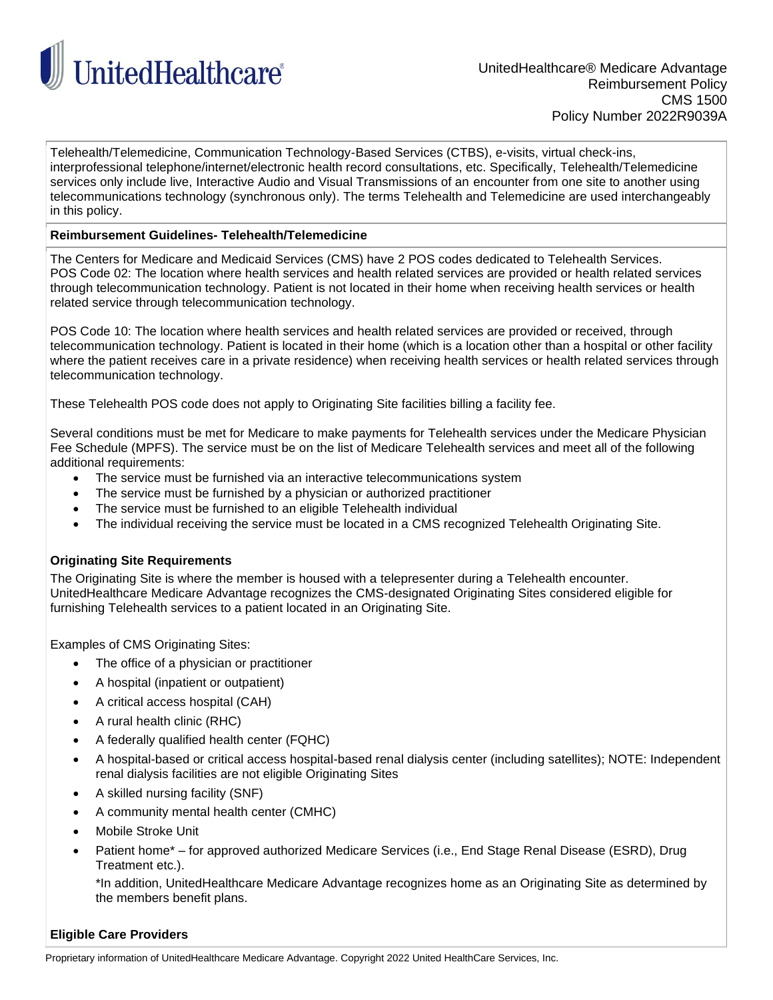

Telehealth/Telemedicine, Communication Technology-Based Services (CTBS), e-visits, virtual check-ins, interprofessional telephone/internet/electronic health record consultations, etc. Specifically, Telehealth/Telemedicine services only include live, Interactive Audio and Visual Transmissions of an encounter from one site to another using telecommunications technology (synchronous only). The terms Telehealth and Telemedicine are used interchangeably in this policy.

## **Reimbursement Guidelines- Telehealth/Telemedicine**

The Centers for Medicare and Medicaid Services (CMS) have 2 POS codes dedicated to Telehealth Services. POS Code 02: The location where health services and health related services are provided or health related services through telecommunication technology. Patient is not located in their home when receiving health services or health related service through telecommunication technology.

POS Code 10: The location where health services and health related services are provided or received, through telecommunication technology. Patient is located in their home (which is a location other than a hospital or other facility where the patient receives care in a private residence) when receiving health services or health related services through telecommunication technology.

These Telehealth POS code does not apply to Originating Site facilities billing a facility fee.

Several conditions must be met for Medicare to make payments for Telehealth services under the Medicare Physician Fee Schedule (MPFS). The service must be on the list of Medicare Telehealth services and meet all of the following additional requirements:

- The service must be furnished via an interactive telecommunications system
- The service must be furnished by a physician or authorized practitioner
- The service must be furnished to an eligible Telehealth individual
- The individual receiving the service must be located in a CMS recognized Telehealth Originating Site.

# **Originating Site Requirements**

The Originating Site is where the member is housed with a telepresenter during a Telehealth encounter. UnitedHealthcare Medicare Advantage recognizes the CMS-designated Originating Sites considered eligible for furnishing Telehealth services to a patient located in an Originating Site.

Examples of CMS Originating Sites:

- The office of a physician or practitioner
- A hospital (inpatient or outpatient)
- A critical access hospital (CAH)
- A rural health clinic (RHC)
- A federally qualified health center (FQHC)
- A hospital-based or critical access hospital-based renal dialysis center (including satellites); NOTE: Independent renal dialysis facilities are not eligible Originating Sites
- A skilled nursing facility (SNF)
- A community mental health center (CMHC)
- Mobile Stroke Unit
- Patient home\* for approved authorized Medicare Services (i.e., End Stage Renal Disease (ESRD), Drug Treatment etc.).

\*In addition, UnitedHealthcare Medicare Advantage recognizes home as an Originating Site as determined by the members benefit plans.

## **Eligible Care Providers**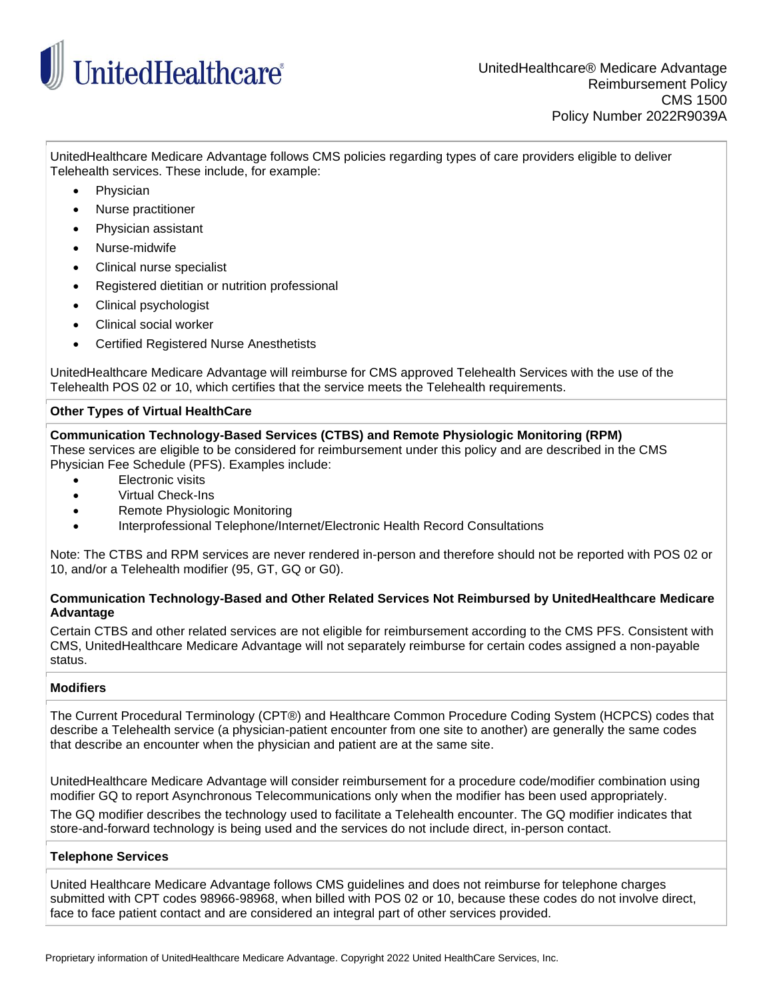

UnitedHealthcare Medicare Advantage follows CMS policies regarding types of care providers eligible to deliver Telehealth services. These include, for example:

- Physician
- Nurse practitioner
- Physician assistant
- Nurse-midwife
- Clinical nurse specialist
- Registered dietitian or nutrition professional
- Clinical psychologist
- Clinical social worker
- Certified Registered Nurse Anesthetists

UnitedHealthcare Medicare Advantage will reimburse for CMS approved Telehealth Services with the use of the Telehealth POS 02 or 10, which certifies that the service meets the Telehealth requirements.

# **Other Types of Virtual HealthCare**

# **Communication Technology-Based Services (CTBS) and Remote Physiologic Monitoring (RPM)**

These services are eligible to be considered for reimbursement under this policy and are described in the CMS Physician Fee Schedule (PFS). Examples include:

- **Electronic visits**
- Virtual Check-Ins
- Remote Physiologic Monitoring
- Interprofessional Telephone/Internet/Electronic Health Record Consultations

Note: The CTBS and RPM services are never rendered in-person and therefore should not be reported with POS 02 or 10, and/or a Telehealth modifier (95, GT, GQ or G0).

## **Communication Technology-Based and Other Related Services Not Reimbursed by UnitedHealthcare Medicare Advantage**

Certain CTBS and other related services are not eligible for reimbursement according to the CMS PFS. Consistent with CMS, UnitedHealthcare Medicare Advantage will not separately reimburse for certain codes assigned a non-payable status.

# **Modifiers**

The Current Procedural Terminology (CPT®) and Healthcare Common Procedure Coding System (HCPCS) codes that describe a Telehealth service (a physician-patient encounter from one site to another) are generally the same codes that describe an encounter when the physician and patient are at the same site.

UnitedHealthcare Medicare Advantage will consider reimbursement for a procedure code/modifier combination using modifier GQ to report Asynchronous Telecommunications only when the modifier has been used appropriately.

The GQ modifier describes the technology used to facilitate a Telehealth encounter. The GQ modifier indicates that store-and-forward technology is being used and the services do not include direct, in-person contact.

## **Telephone Services**

United Healthcare Medicare Advantage follows CMS guidelines and does not reimburse for telephone charges submitted with CPT codes 98966-98968, when billed with POS 02 or 10, because these codes do not involve direct, face to face patient contact and are considered an integral part of other services provided.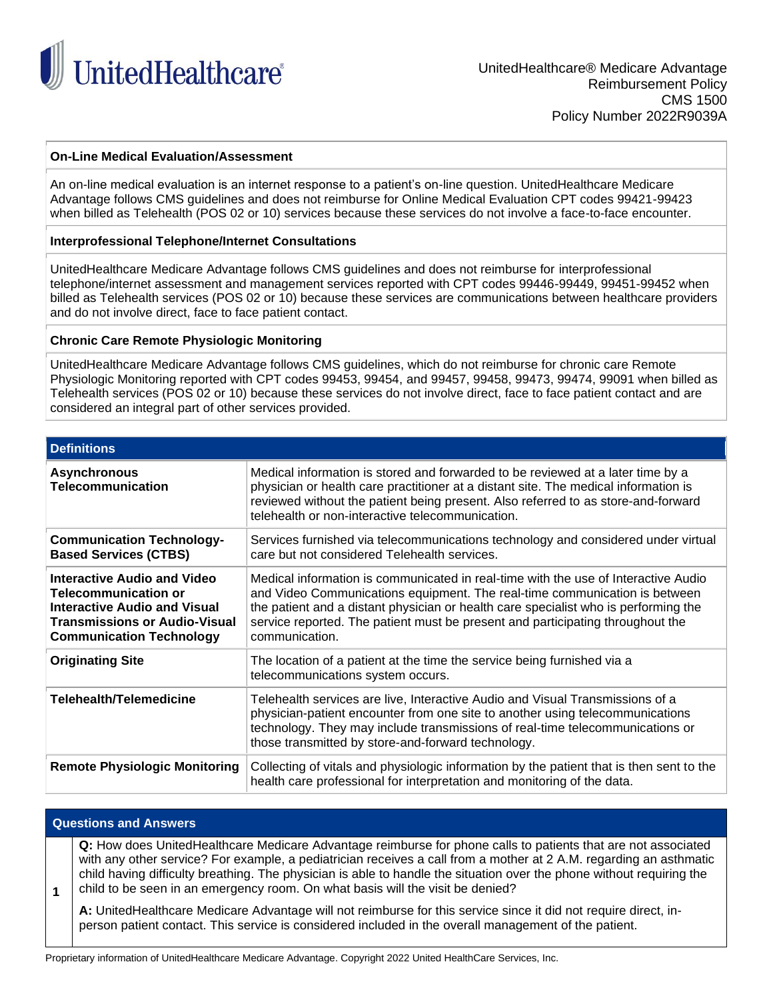

## **On-Line Medical Evaluation/Assessment**

An on-line medical evaluation is an internet response to a patient's on-line question. UnitedHealthcare Medicare Advantage follows CMS guidelines and does not reimburse for Online Medical Evaluation CPT codes 99421-99423 when billed as Telehealth (POS 02 or 10) services because these services do not involve a face-to-face encounter.

### **Interprofessional Telephone/Internet Consultations**

UnitedHealthcare Medicare Advantage follows CMS guidelines and does not reimburse for interprofessional telephone/internet assessment and management services reported with CPT codes 99446-99449, 99451-99452 when billed as Telehealth services (POS 02 or 10) because these services are communications between healthcare providers and do not involve direct, face to face patient contact.

### **Chronic Care Remote Physiologic Monitoring**

UnitedHealthcare Medicare Advantage follows CMS guidelines, which do not reimburse for chronic care Remote Physiologic Monitoring reported with CPT codes 99453, 99454, and 99457, 99458, 99473, 99474, 99091 when billed as Telehealth services (POS 02 or 10) because these services do not involve direct, face to face patient contact and are considered an integral part of other services provided.

| <b>Definitions</b>                                                                                                                                                           |                                                                                                                                                                                                                                                                                                                                                             |  |
|------------------------------------------------------------------------------------------------------------------------------------------------------------------------------|-------------------------------------------------------------------------------------------------------------------------------------------------------------------------------------------------------------------------------------------------------------------------------------------------------------------------------------------------------------|--|
| <b>Asynchronous</b><br><b>Telecommunication</b>                                                                                                                              | Medical information is stored and forwarded to be reviewed at a later time by a<br>physician or health care practitioner at a distant site. The medical information is<br>reviewed without the patient being present. Also referred to as store-and-forward<br>telehealth or non-interactive telecommunication.                                             |  |
| <b>Communication Technology-</b><br><b>Based Services (CTBS)</b>                                                                                                             | Services furnished via telecommunications technology and considered under virtual<br>care but not considered Telehealth services.                                                                                                                                                                                                                           |  |
| Interactive Audio and Video<br><b>Telecommunication or</b><br><b>Interactive Audio and Visual</b><br><b>Transmissions or Audio-Visual</b><br><b>Communication Technology</b> | Medical information is communicated in real-time with the use of Interactive Audio<br>and Video Communications equipment. The real-time communication is between<br>the patient and a distant physician or health care specialist who is performing the<br>service reported. The patient must be present and participating throughout the<br>communication. |  |
| <b>Originating Site</b>                                                                                                                                                      | The location of a patient at the time the service being furnished via a<br>telecommunications system occurs.                                                                                                                                                                                                                                                |  |
| Telehealth/Telemedicine                                                                                                                                                      | Telehealth services are live, Interactive Audio and Visual Transmissions of a<br>physician-patient encounter from one site to another using telecommunications<br>technology. They may include transmissions of real-time telecommunications or<br>those transmitted by store-and-forward technology.                                                       |  |
| <b>Remote Physiologic Monitoring</b>                                                                                                                                         | Collecting of vitals and physiologic information by the patient that is then sent to the<br>health care professional for interpretation and monitoring of the data.                                                                                                                                                                                         |  |

#### **Questions and Answers**

**1**

**Q:** How does UnitedHealthcare Medicare Advantage reimburse for phone calls to patients that are not associated with any other service? For example, a pediatrician receives a call from a mother at 2 A.M. regarding an asthmatic child having difficulty breathing. The physician is able to handle the situation over the phone without requiring the child to be seen in an emergency room. On what basis will the visit be denied?

**A:** UnitedHealthcare Medicare Advantage will not reimburse for this service since it did not require direct, inperson patient contact. This service is considered included in the overall management of the patient.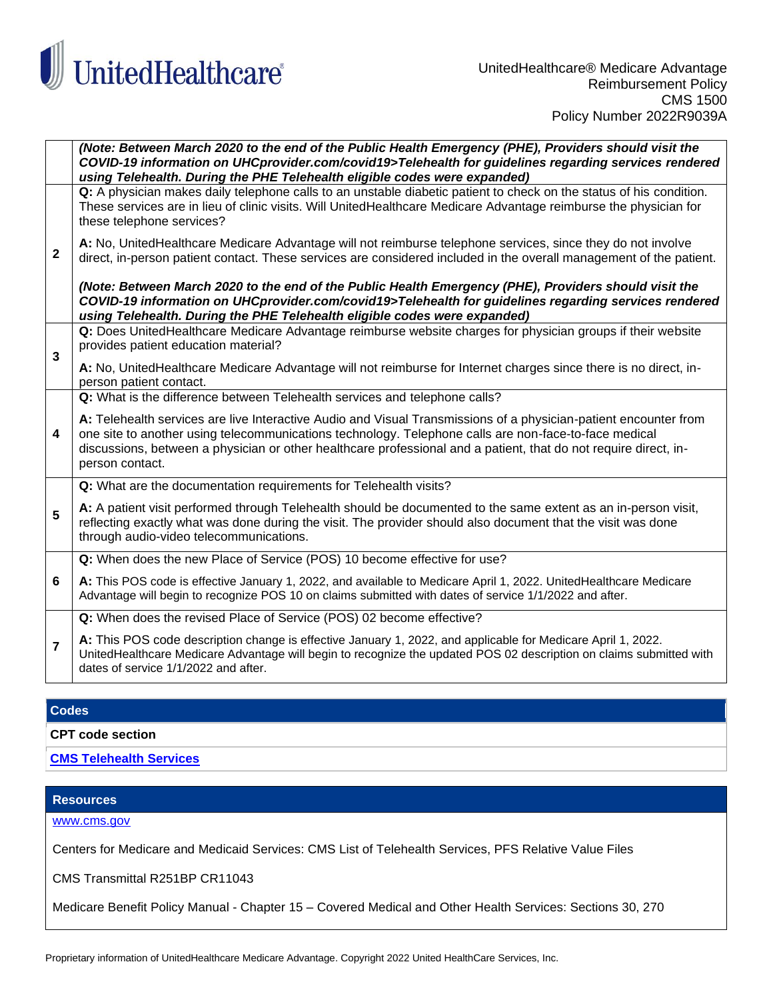

|                         | (Note: Between March 2020 to the end of the Public Health Emergency (PHE), Providers should visit the<br>COVID-19 information on UHCprovider.com/covid19>Telehealth for guidelines regarding services rendered<br>using Telehealth. During the PHE Telehealth eligible codes were expanded)                                                                      |
|-------------------------|------------------------------------------------------------------------------------------------------------------------------------------------------------------------------------------------------------------------------------------------------------------------------------------------------------------------------------------------------------------|
| $\overline{\mathbf{2}}$ | Q: A physician makes daily telephone calls to an unstable diabetic patient to check on the status of his condition.<br>These services are in lieu of clinic visits. Will UnitedHealthcare Medicare Advantage reimburse the physician for<br>these telephone services?                                                                                            |
|                         | A: No, UnitedHealthcare Medicare Advantage will not reimburse telephone services, since they do not involve<br>direct, in-person patient contact. These services are considered included in the overall management of the patient.                                                                                                                               |
|                         | (Note: Between March 2020 to the end of the Public Health Emergency (PHE), Providers should visit the<br>COVID-19 information on UHCprovider.com/covid19>Telehealth for guidelines regarding services rendered<br>using Telehealth. During the PHE Telehealth eligible codes were expanded)                                                                      |
| 3                       | Q: Does UnitedHealthcare Medicare Advantage reimburse website charges for physician groups if their website<br>provides patient education material?                                                                                                                                                                                                              |
|                         | A: No, UnitedHealthcare Medicare Advantage will not reimburse for Internet charges since there is no direct, in-<br>person patient contact.                                                                                                                                                                                                                      |
|                         | Q: What is the difference between Telehealth services and telephone calls?                                                                                                                                                                                                                                                                                       |
| 4                       | A: Telehealth services are live Interactive Audio and Visual Transmissions of a physician-patient encounter from<br>one site to another using telecommunications technology. Telephone calls are non-face-to-face medical<br>discussions, between a physician or other healthcare professional and a patient, that do not require direct, in-<br>person contact. |
| 5                       | Q: What are the documentation requirements for Telehealth visits?                                                                                                                                                                                                                                                                                                |
|                         | A: A patient visit performed through Telehealth should be documented to the same extent as an in-person visit,<br>reflecting exactly what was done during the visit. The provider should also document that the visit was done<br>through audio-video telecommunications.                                                                                        |
| 6                       | Q: When does the new Place of Service (POS) 10 become effective for use?                                                                                                                                                                                                                                                                                         |
|                         | A: This POS code is effective January 1, 2022, and available to Medicare April 1, 2022. UnitedHealthcare Medicare<br>Advantage will begin to recognize POS 10 on claims submitted with dates of service 1/1/2022 and after.                                                                                                                                      |
|                         | Q: When does the revised Place of Service (POS) 02 become effective?                                                                                                                                                                                                                                                                                             |
| $\overline{7}$          | A: This POS code description change is effective January 1, 2022, and applicable for Medicare April 1, 2022.<br>UnitedHealthcare Medicare Advantage will begin to recognize the updated POS 02 description on claims submitted with<br>dates of service 1/1/2022 and after.                                                                                      |

# **Codes**

**CPT code section**

**[CMS Telehealth Services](https://www.cms.gov/Medicare/Medicare-General-Information/Telehealth/Telehealth-Codes.html)**

## **Resources**

[www.cms.gov](http://www.cms.gov/)

Centers for Medicare and Medicaid Services: CMS List of Telehealth Services, PFS Relative Value Files

CMS Transmittal R251BP CR11043

Medicare Benefit Policy Manual - Chapter 15 – Covered Medical and Other Health Services: Sections 30, 270